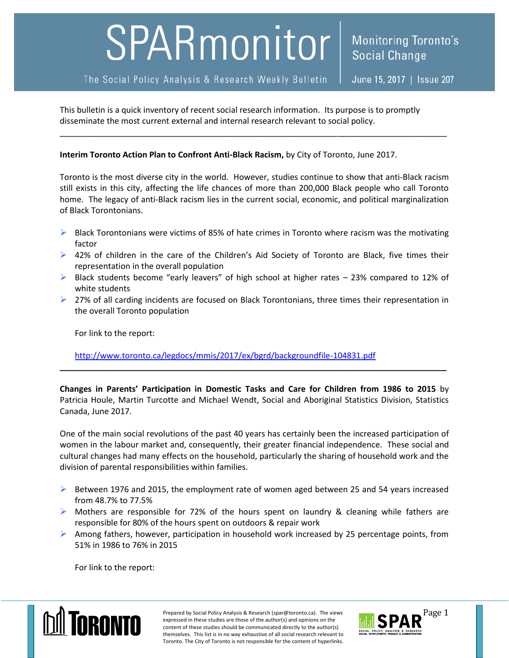## SPARmonitor

The Social Policy Analysis & Research Weekly Bulletin

June 15, 2017 | Issue 207

This bulletin is a quick inventory of recent social research information. Its purpose is to promptly disseminate the most current external and internal research relevant to social policy.

## **Interim Toronto Action Plan to Confront Anti-Black Racism,** by City of Toronto, June 2017.

Toronto is the most diverse city in the world. However, studies continue to show that anti-Black racism still exists in this city, affecting the life chances of more than 200,000 Black people who call Toronto home. The legacy of anti-Black racism lies in the current social, economic, and political marginalization of Black Torontonians.

\_\_\_\_\_\_\_\_\_\_\_\_\_\_\_\_\_\_\_\_\_\_\_\_\_\_\_\_\_\_\_\_\_\_\_\_\_\_\_\_\_\_\_\_\_\_\_\_\_\_\_\_\_\_\_\_\_\_\_\_\_\_\_\_\_\_\_\_\_\_\_\_\_\_\_\_\_\_\_\_\_\_\_\_\_

- $\triangleright$  Black Torontonians were victims of 85% of hate crimes in Toronto where racism was the motivating factor
- ▶ 42% of children in the care of the Children's Aid Society of Toronto are Black, five times their representation in the overall population
- $\triangleright$  Black students become "early leavers" of high school at higher rates 23% compared to 12% of white students
- $\triangleright$  27% of all carding incidents are focused on Black Torontonians, three times their representation in the overall Toronto population

For link to the report:

<http://www.toronto.ca/legdocs/mmis/2017/ex/bgrd/backgroundfile-104831.pdf>

**Changes in Parents' Participation in Domestic Tasks and Care for Children from 1986 to 2015** by Patricia Houle, Martin Turcotte and Michael Wendt, Social and Aboriginal Statistics Division, Statistics Canada, June 2017.

**\_\_\_\_\_\_\_\_\_\_\_\_\_\_\_\_\_\_\_\_\_\_\_\_\_\_\_\_\_\_\_\_\_\_\_\_\_\_\_\_\_\_\_\_\_\_\_\_\_\_\_\_\_\_\_\_\_\_\_\_\_\_\_\_\_\_\_\_\_\_\_\_\_\_\_\_\_\_\_\_\_\_\_\_\_**

One of the main social revolutions of the past 40 years has certainly been the increased participation of women in the labour market and, consequently, their greater financial independence. These social and cultural changes had many effects on the household, particularly the sharing of household work and the division of parental responsibilities within families.

- $\triangleright$  Between 1976 and 2015, the employment rate of women aged between 25 and 54 years increased from 48.7% to 77.5%
- $\triangleright$  Mothers are responsible for 72% of the hours spent on laundry & cleaning while fathers are responsible for 80% of the hours spent on outdoors & repair work
- $\triangleright$  Among fathers, however, participation in household work increased by 25 percentage points, from 51% in 1986 to 76% in 2015

For link to the report:



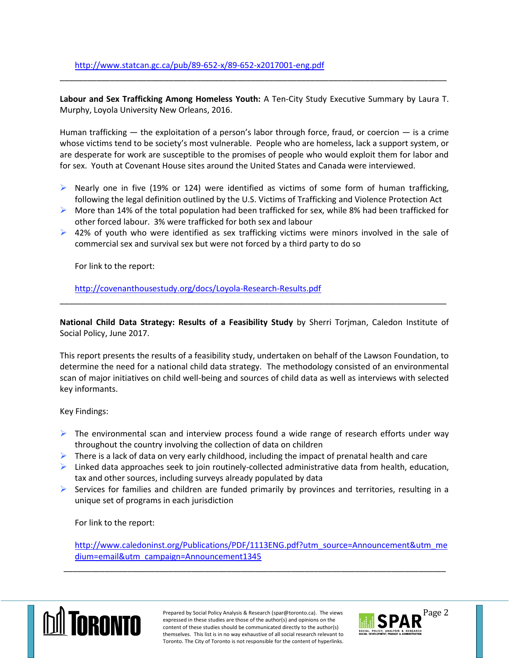**Labour and Sex Trafficking Among Homeless Youth:** A Ten-City Study Executive Summary by Laura T. Murphy, Loyola University New Orleans, 2016.

\_\_\_\_\_\_\_\_\_\_\_\_\_\_\_\_\_\_\_\_\_\_\_\_\_\_\_\_\_\_\_\_\_\_\_\_\_\_\_\_\_\_\_\_\_\_\_\_\_\_\_\_\_\_\_\_\_\_\_\_\_\_\_\_\_\_\_\_\_\_\_\_\_\_\_\_\_\_\_\_\_\_\_\_\_

Human trafficking — the exploitation of a person's labor through force, fraud, or coercion — is a crime whose victims tend to be society's most vulnerable. People who are homeless, lack a support system, or are desperate for work are susceptible to the promises of people who would exploit them for labor and for sex. Youth at Covenant House sites around the United States and Canada were interviewed.

- $\triangleright$  Nearly one in five (19% or 124) were identified as victims of some form of human trafficking, following the legal definition outlined by the U.S. Victims of Trafficking and Violence Protection Act
- $\triangleright$  More than 14% of the total population had been trafficked for sex, while 8% had been trafficked for other forced labour. 3% were trafficked for both sex and labour
- $\triangleright$  42% of youth who were identified as sex trafficking victims were minors involved in the sale of commercial sex and survival sex but were not forced by a third party to do so

For link to the report:

<http://covenanthousestudy.org/docs/Loyola-Research-Results.pdf>

**National Child Data Strategy: Results of a Feasibility Study** by Sherri Torjman, Caledon Institute of Social Policy, June 2017.

\_\_\_\_\_\_\_\_\_\_\_\_\_\_\_\_\_\_\_\_\_\_\_\_\_\_\_\_\_\_\_\_\_\_\_\_\_\_\_\_\_\_\_\_\_\_\_\_\_\_\_\_\_\_\_\_\_\_\_\_\_\_\_\_\_\_\_\_\_\_\_\_\_\_\_\_\_\_\_\_\_\_\_\_\_

This report presents the results of a feasibility study, undertaken on behalf of the Lawson Foundation, to determine the need for a national child data strategy. The methodology consisted of an environmental scan of major initiatives on child well-being and sources of child data as well as interviews with selected key informants.

Key Findings:

- $\triangleright$  The environmental scan and interview process found a wide range of research efforts under way throughout the country involving the collection of data on children
- $\triangleright$  There is a lack of data on very early childhood, including the impact of prenatal health and care
- $\triangleright$  Linked data approaches seek to join routinely-collected administrative data from health, education, tax and other sources, including surveys already populated by data
- $\triangleright$  Services for families and children are funded primarily by provinces and territories, resulting in a unique set of programs in each jurisdiction

For link to the report:

[http://www.caledoninst.org/Publications/PDF/1113ENG.pdf?utm\\_source=Announcement&utm\\_me](http://www.caledoninst.org/Publications/PDF/1113ENG.pdf?utm_source=Announcement&utm_medium=email&utm_campaign=Announcement1345) [dium=email&utm\\_campaign=Announcement1345](http://www.caledoninst.org/Publications/PDF/1113ENG.pdf?utm_source=Announcement&utm_medium=email&utm_campaign=Announcement1345)

\_\_\_\_\_\_\_\_\_\_\_\_\_\_\_\_\_\_\_\_\_\_\_\_\_\_\_\_\_\_\_\_\_\_\_\_\_\_\_\_\_\_\_\_\_\_\_\_\_\_\_\_\_\_\_\_\_\_\_\_\_\_\_\_\_\_\_\_\_\_\_\_\_\_\_\_\_\_\_\_\_\_\_\_



Prepared by Social Policy Analysis & Research (spar@toronto.ca). The views Page 2 expressed in these studies are those of the author(s) and opinions on the content of these studies should be communicated directly to the author(s) themselves. This list is in no way exhaustive of all social research relevant to Toronto. The City of Toronto is not responsible for the content of hyperlinks.